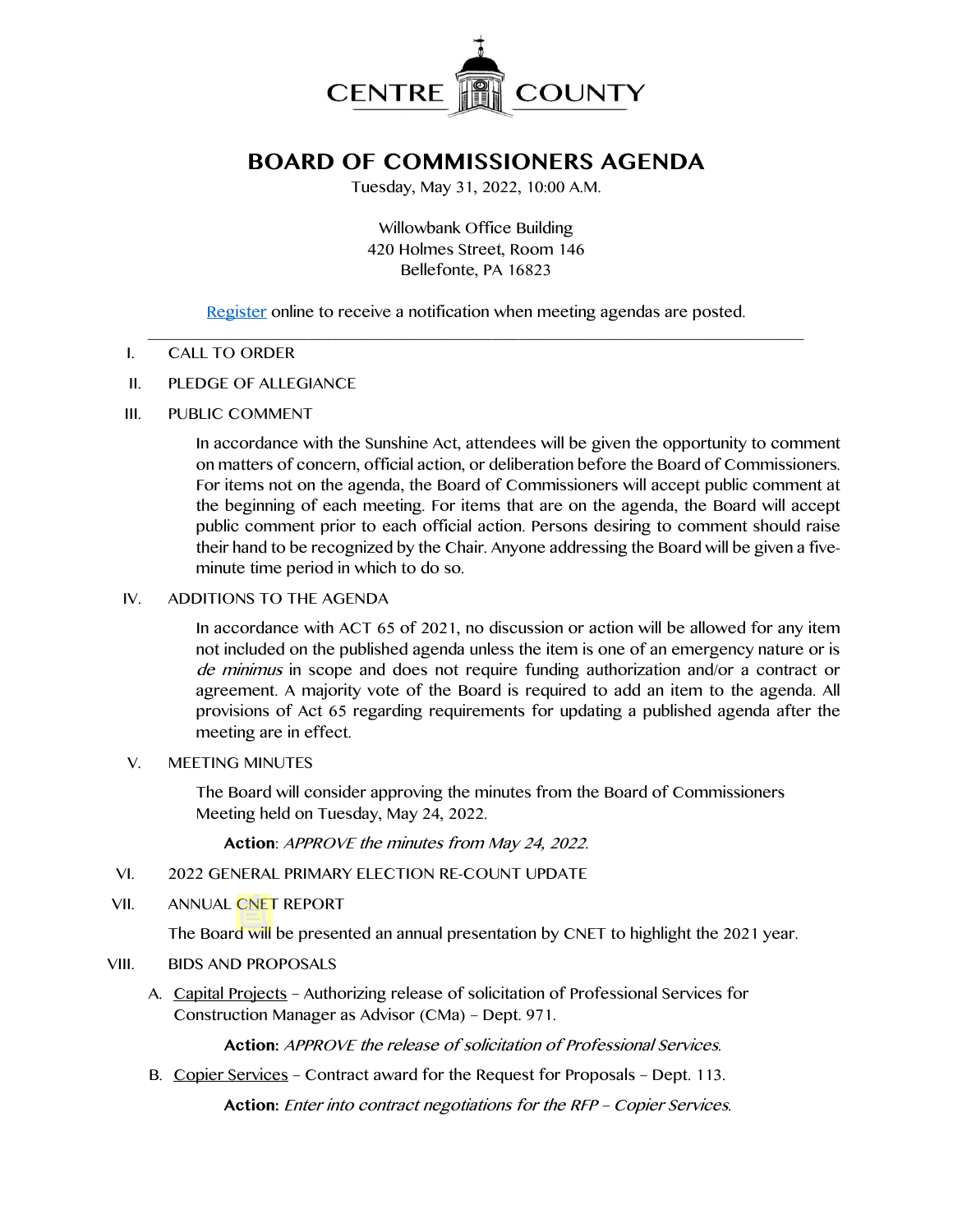

# **BOARD OF COMMISSIONERS AGENDA**

Tuesday, May 31, 2022, 10:00 A.M.

Willowbank Office Building 420 Holmes Street, Room 146 Bellefonte, PA 16823

[Register](http://www.centrecountypa.gov/AgendaCenter) online to receive a notification when meeting agendas are posted.

#### $\mathcal{L} = \{ \mathcal{L} = \{ \mathcal{L} \mid \mathcal{L} = \{ \mathcal{L} \mid \mathcal{L} = \{ \mathcal{L} \mid \mathcal{L} = \{ \mathcal{L} \mid \mathcal{L} = \{ \mathcal{L} \mid \mathcal{L} = \{ \mathcal{L} \mid \mathcal{L} = \{ \mathcal{L} \mid \mathcal{L} = \{ \mathcal{L} \mid \mathcal{L} = \{ \mathcal{L} \mid \mathcal{L} = \{ \mathcal{L} \mid \mathcal{L} = \{ \mathcal{L} \mid \mathcal{L} = \{ \mathcal{L} \mid \mathcal{L} =$ I. CALL TO ORDER

- II. PLEDGE OF ALLEGIANCE
- III. PUBLIC COMMENT

In accordance with the Sunshine Act, attendees will be given the opportunity to comment on matters of concern, official action, or deliberation before the Board of Commissioners. For items not on the agenda, the Board of Commissioners will accept public comment at the beginning of each meeting. For items that are on the agenda, the Board will accept public comment prior to each official action. Persons desiring to comment should raise their hand to be recognized by the Chair. Anyone addressing the Board will be given a fiveminute time period in which to do so.

## IV. ADDITIONS TO THE AGENDA

In accordance with ACT 65 of 2021, no discussion or action will be allowed for any item not included on the published agenda unless the item is one of an emergency nature or is de minimus in scope and does not require funding authorization and/or a contract or agreement. A majority vote of the Board is required to add an item to the agenda. All provisions of Act 65 regarding requirements for updating a published agenda after the meeting are in effect.

#### V. MEETING MINUTES

The Board will consider approving the minutes from the Board of Commissioners Meeting held on Tuesday, May 24, 2022.

**Action**: APPROVE the minutes from May 24, 2022.

- VI. 2022 GENERAL PRIMARY ELECTION RE-COUNT UPDATE
- VII. ANNUAL CNET REPORT

The Board will be presented an annual presentation by CNET to highlight the 2021 year.

#### VIII. BIDS AND PROPOSALS

A. Capital Projects – Authorizing release of solicitation of Professional Services for Construction Manager as Advisor (CMa) – Dept. 971.

**Action:** APPROVE the release of solicitation of Professional Services.

B. Copier Services – Contract award for the Request for Proposals – Dept. 113.

**Action:** Enter into contract negotiations for the RFP – Copier Services.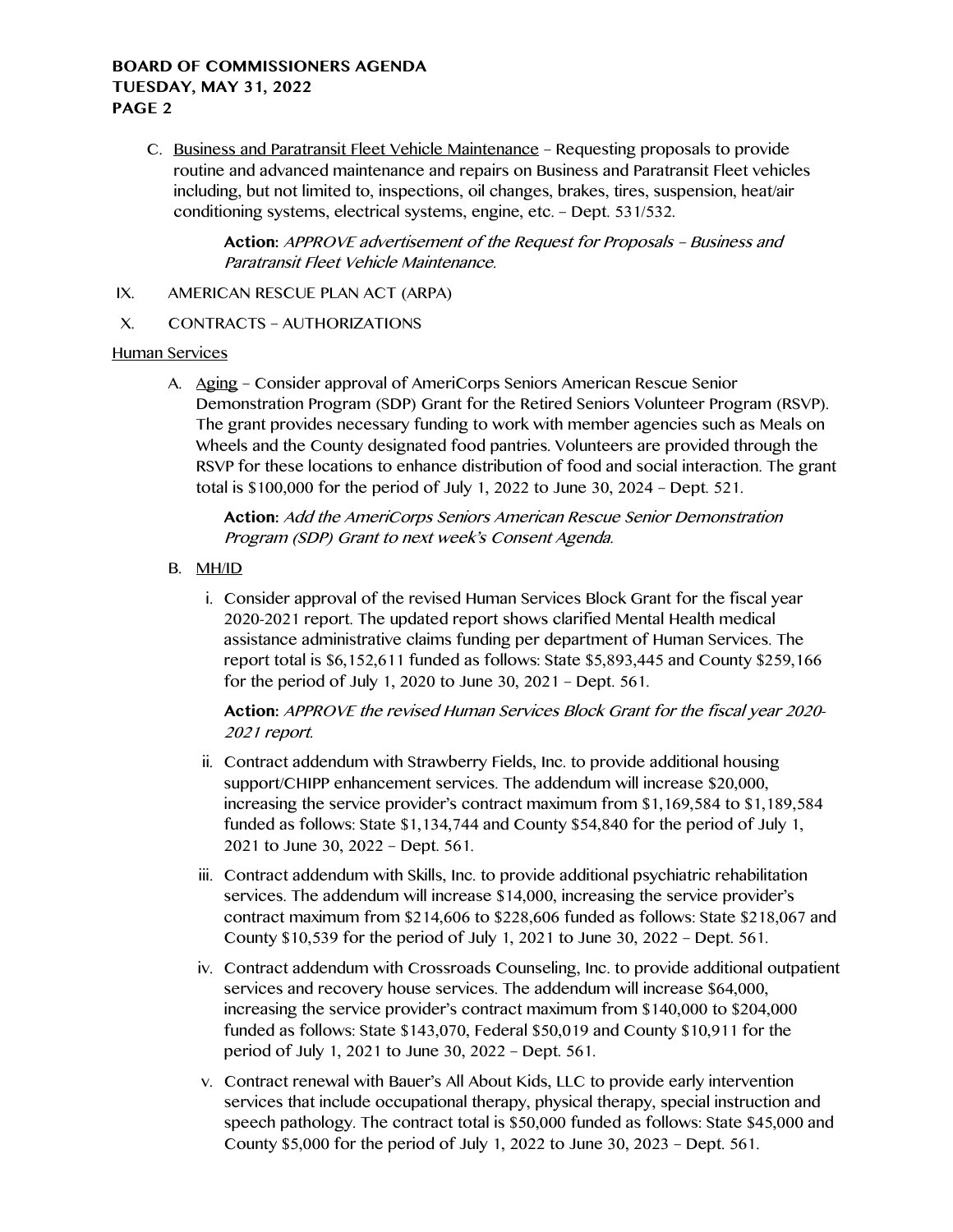C. Business and Paratransit Fleet Vehicle Maintenance – Requesting proposals to provide routine and advanced maintenance and repairs on Business and Paratransit Fleet vehicles including, but not limited to, inspections, oil changes, brakes, tires, suspension, heat/air conditioning systems, electrical systems, engine, etc. – Dept. 531/532.

> **Action:** APPROVE advertisement of the Request for Proposals – Business and Paratransit Fleet Vehicle Maintenance.

- IX. AMERICAN RESCUE PLAN ACT (ARPA)
- X. CONTRACTS AUTHORIZATIONS

#### Human Services

A. Aging – Consider approval of AmeriCorps Seniors American Rescue Senior Demonstration Program (SDP) Grant for the Retired Seniors Volunteer Program (RSVP). The grant provides necessary funding to work with member agencies such as Meals on Wheels and the County designated food pantries. Volunteers are provided through the RSVP for these locations to enhance distribution of food and social interaction. The grant total is \$100,000 for the period of July 1, 2022 to June 30, 2024 – Dept. 521.

**Action:** Add the AmeriCorps Seniors American Rescue Senior Demonstration Program (SDP) Grant to next week's Consent Agenda.

- B. MH/ID
	- i. Consider approval of the revised Human Services Block Grant for the fiscal year 2020-2021 report. The updated report shows clarified Mental Health medical assistance administrative claims funding per department of Human Services. The report total is \$6,152,611 funded as follows: State \$5,893,445 and County \$259,166 for the period of July 1, 2020 to June 30, 2021 – Dept. 561.

**Action:** APPROVE the revised Human Services Block Grant for the fiscal year 2020- 2021 report.

- ii. Contract addendum with Strawberry Fields, Inc. to provide additional housing support/CHIPP enhancement services. The addendum will increase \$20,000, increasing the service provider's contract maximum from \$1,169,584 to \$1,189,584 funded as follows: State \$1,134,744 and County \$54,840 for the period of July 1, 2021 to June 30, 2022 – Dept. 561.
- iii. Contract addendum with Skills, Inc. to provide additional psychiatric rehabilitation services. The addendum will increase \$14,000, increasing the service provider's contract maximum from \$214,606 to \$228,606 funded as follows: State \$218,067 and County \$10,539 for the period of July 1, 2021 to June 30, 2022 – Dept. 561.
- iv. Contract addendum with Crossroads Counseling, Inc. to provide additional outpatient services and recovery house services. The addendum will increase \$64,000, increasing the service provider's contract maximum from \$140,000 to \$204,000 funded as follows: State \$143,070, Federal \$50,019 and County \$10,911 for the period of July 1, 2021 to June 30, 2022 – Dept. 561.
- v. Contract renewal with Bauer's All About Kids, LLC to provide early intervention services that include occupational therapy, physical therapy, special instruction and speech pathology. The contract total is \$50,000 funded as follows: State \$45,000 and County \$5,000 for the period of July 1, 2022 to June 30, 2023 – Dept. 561.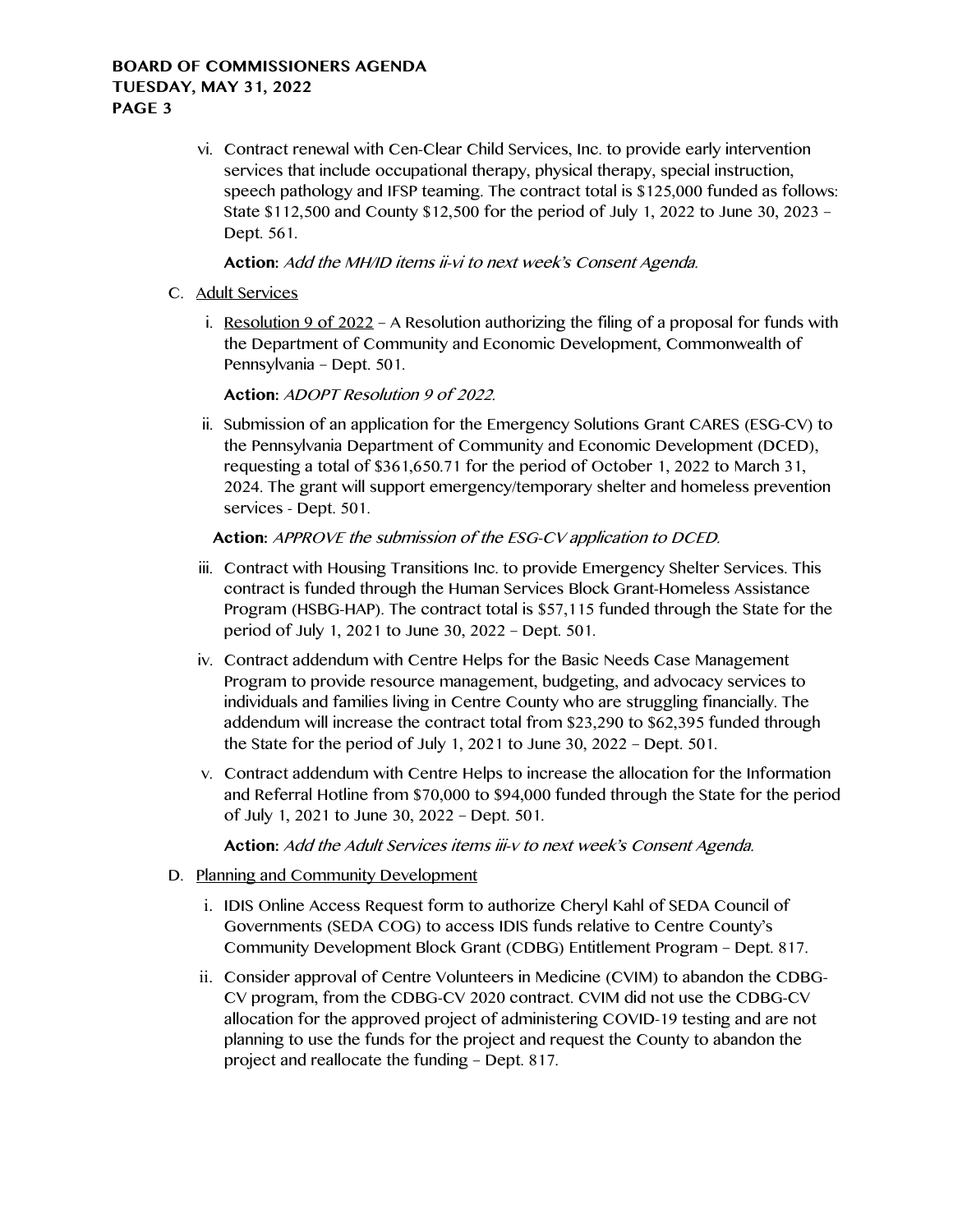vi. Contract renewal with Cen-Clear Child Services, Inc. to provide early intervention services that include occupational therapy, physical therapy, special instruction, speech pathology and IFSP teaming. The contract total is \$125,000 funded as follows: State \$112,500 and County \$12,500 for the period of July 1, 2022 to June 30, 2023 – Dept. 561.

## **Action:** Add the MH/ID items ii-vi to next week's Consent Agenda.

- C. Adult Services
	- i. Resolution 9 of 2022 A Resolution authorizing the filing of a proposal for funds with the Department of Community and Economic Development, Commonwealth of Pennsylvania – Dept. 501.

**Action:** ADOPT Resolution 9 of 2022.

ii. Submission of an application for the Emergency Solutions Grant CARES (ESG-CV) to the Pennsylvania Department of Community and Economic Development (DCED), requesting a total of \$361,650.71 for the period of October 1, 2022 to March 31, 2024. The grant will support emergency/temporary shelter and homeless prevention services - Dept. 501.

# **Action:** APPROVE the submission of the ESG-CV application to DCED.

- iii. Contract with Housing Transitions Inc. to provide Emergency Shelter Services. This contract is funded through the Human Services Block Grant-Homeless Assistance Program (HSBG-HAP). The contract total is \$57,115 funded through the State for the period of July 1, 2021 to June 30, 2022 – Dept. 501.
- iv. Contract addendum with Centre Helps for the Basic Needs Case Management Program to provide resource management, budgeting, and advocacy services to individuals and families living in Centre County who are struggling financially. The addendum will increase the contract total from \$23,290 to \$62,395 funded through the State for the period of July 1, 2021 to June 30, 2022 – Dept. 501.
- v. Contract addendum with Centre Helps to increase the allocation for the Information and Referral Hotline from \$70,000 to \$94,000 funded through the State for the period of July 1, 2021 to June 30, 2022 – Dept. 501.

**Action:** Add the Adult Services items iii-v to next week's Consent Agenda.

- D. Planning and Community Development
	- i. IDIS Online Access Request form to authorize Cheryl Kahl of SEDA Council of Governments (SEDA COG) to access IDIS funds relative to Centre County's Community Development Block Grant (CDBG) Entitlement Program – Dept. 817.
	- ii. Consider approval of Centre Volunteers in Medicine (CVIM) to abandon the CDBG-CV program, from the CDBG-CV 2020 contract. CVIM did not use the CDBG-CV allocation for the approved project of administering COVID-19 testing and are not planning to use the funds for the project and request the County to abandon the project and reallocate the funding – Dept. 817.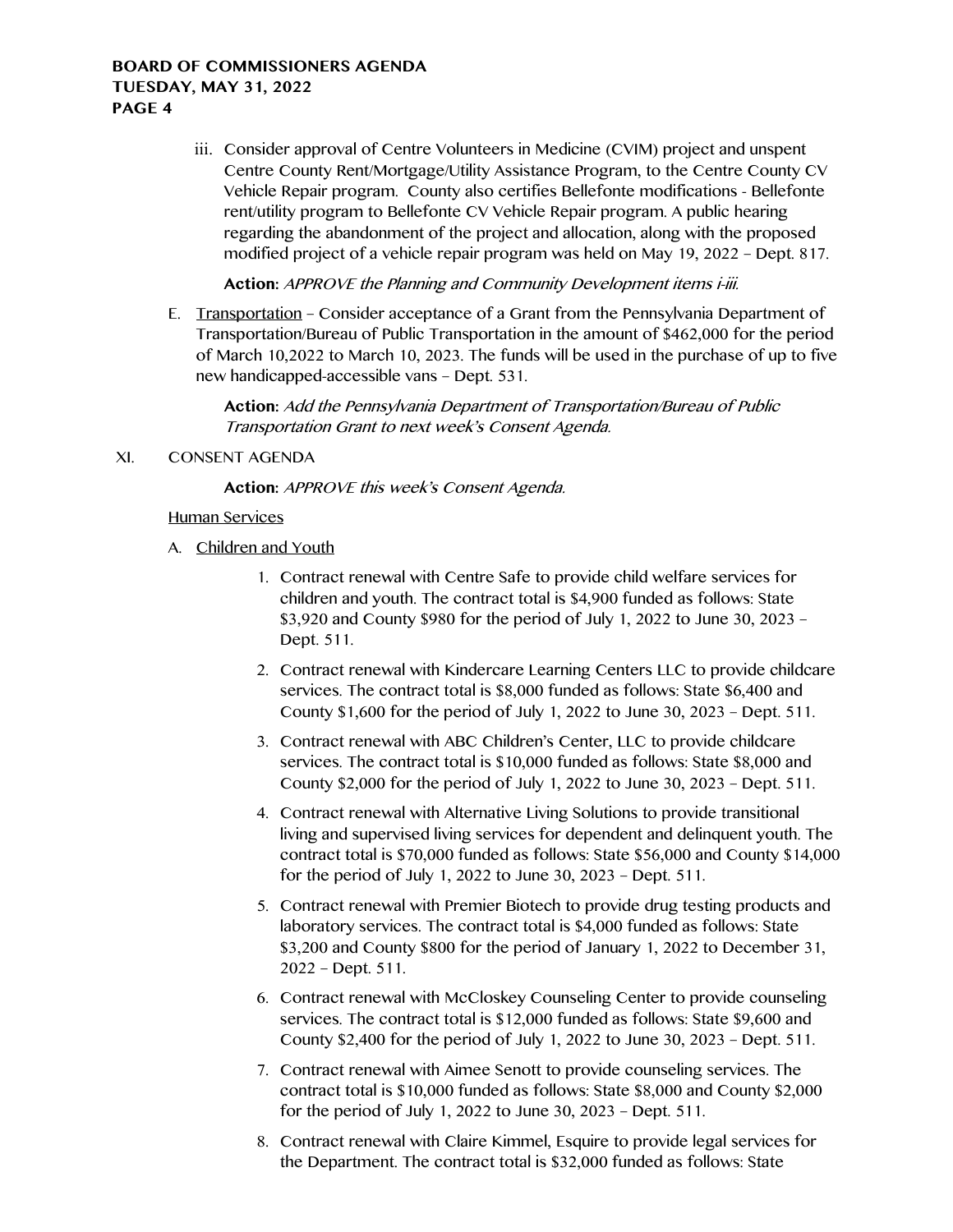iii. Consider approval of Centre Volunteers in Medicine (CVIM) project and unspent Centre County Rent/Mortgage/Utility Assistance Program, to the Centre County CV Vehicle Repair program. County also certifies Bellefonte modifications - Bellefonte rent/utility program to Bellefonte CV Vehicle Repair program. A public hearing regarding the abandonment of the project and allocation, along with the proposed modified project of a vehicle repair program was held on May 19, 2022 – Dept. 817.

**Action:** APPROVE the Planning and Community Development items i-iii.

E. Transportation – Consider acceptance of a Grant from the Pennsylvania Department of Transportation/Bureau of Public Transportation in the amount of \$462,000 for the period of March 10,2022 to March 10, 2023. The funds will be used in the purchase of up to five new handicapped-accessible vans – Dept. 531.

**Action:** Add the Pennsylvania Department of Transportation/Bureau of Public Transportation Grant to next week's Consent Agenda.

## XI. CONSENT AGENDA

**Action:** APPROVE this week's Consent Agenda.

#### Human Services

- A. Children and Youth
	- 1. Contract renewal with Centre Safe to provide child welfare services for children and youth. The contract total is \$4,900 funded as follows: State \$3,920 and County \$980 for the period of July 1, 2022 to June 30, 2023 – Dept. 511.
	- 2. Contract renewal with Kindercare Learning Centers LLC to provide childcare services. The contract total is \$8,000 funded as follows: State \$6,400 and County \$1,600 for the period of July 1, 2022 to June 30, 2023 – Dept. 511.
	- 3. Contract renewal with ABC Children's Center, LLC to provide childcare services. The contract total is \$10,000 funded as follows: State \$8,000 and County \$2,000 for the period of July 1, 2022 to June 30, 2023 – Dept. 511.
	- 4. Contract renewal with Alternative Living Solutions to provide transitional living and supervised living services for dependent and delinquent youth. The contract total is \$70,000 funded as follows: State \$56,000 and County \$14,000 for the period of July 1, 2022 to June 30, 2023 – Dept. 511.
	- 5. Contract renewal with Premier Biotech to provide drug testing products and laboratory services. The contract total is \$4,000 funded as follows: State \$3,200 and County \$800 for the period of January 1, 2022 to December 31, 2022 – Dept. 511.
	- 6. Contract renewal with McCloskey Counseling Center to provide counseling services. The contract total is \$12,000 funded as follows: State \$9,600 and County \$2,400 for the period of July 1, 2022 to June 30, 2023 – Dept. 511.
	- 7. Contract renewal with Aimee Senott to provide counseling services. The contract total is \$10,000 funded as follows: State \$8,000 and County \$2,000 for the period of July 1, 2022 to June 30, 2023 – Dept. 511.
	- 8. Contract renewal with Claire Kimmel, Esquire to provide legal services for the Department. The contract total is \$32,000 funded as follows: State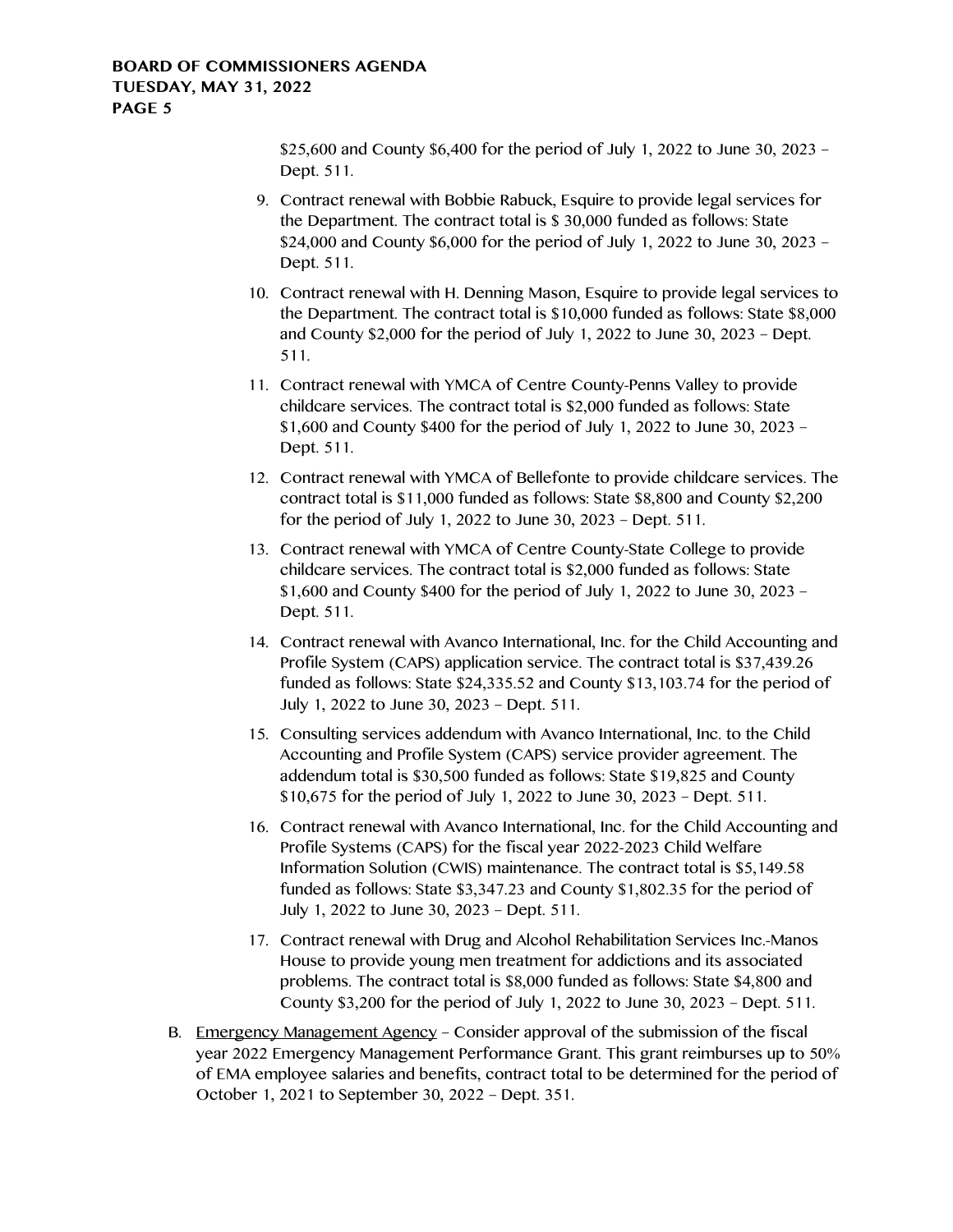\$25,600 and County \$6,400 for the period of July 1, 2022 to June 30, 2023 – Dept. 511.

- 9. Contract renewal with Bobbie Rabuck, Esquire to provide legal services for the Department. The contract total is \$ 30,000 funded as follows: State \$24,000 and County \$6,000 for the period of July 1, 2022 to June 30, 2023 – Dept. 511.
- 10. Contract renewal with H. Denning Mason, Esquire to provide legal services to the Department. The contract total is \$10,000 funded as follows: State \$8,000 and County \$2,000 for the period of July 1, 2022 to June 30, 2023 – Dept. 511.
- 11. Contract renewal with YMCA of Centre County-Penns Valley to provide childcare services. The contract total is \$2,000 funded as follows: State \$1,600 and County \$400 for the period of July 1, 2022 to June 30, 2023 – Dept. 511.
- 12. Contract renewal with YMCA of Bellefonte to provide childcare services. The contract total is \$11,000 funded as follows: State \$8,800 and County \$2,200 for the period of July 1, 2022 to June 30, 2023 – Dept. 511.
- 13. Contract renewal with YMCA of Centre County-State College to provide childcare services. The contract total is \$2,000 funded as follows: State \$1,600 and County \$400 for the period of July 1, 2022 to June 30, 2023 – Dept. 511.
- 14. Contract renewal with Avanco International, Inc. for the Child Accounting and Profile System (CAPS) application service. The contract total is \$37,439.26 funded as follows: State \$24,335.52 and County \$13,103.74 for the period of July 1, 2022 to June 30, 2023 – Dept. 511.
- 15. Consulting services addendum with Avanco International, Inc. to the Child Accounting and Profile System (CAPS) service provider agreement. The addendum total is \$30,500 funded as follows: State \$19,825 and County \$10,675 for the period of July 1, 2022 to June 30, 2023 – Dept. 511.
- 16. Contract renewal with Avanco International, Inc. for the Child Accounting and Profile Systems (CAPS) for the fiscal year 2022-2023 Child Welfare Information Solution (CWIS) maintenance. The contract total is \$5,149.58 funded as follows: State \$3,347.23 and County \$1,802.35 for the period of July 1, 2022 to June 30, 2023 – Dept. 511.
- 17. Contract renewal with Drug and Alcohol Rehabilitation Services Inc.-Manos House to provide young men treatment for addictions and its associated problems. The contract total is \$8,000 funded as follows: State \$4,800 and County \$3,200 for the period of July 1, 2022 to June 30, 2023 – Dept. 511.
- B. Emergency Management Agency Consider approval of the submission of the fiscal year 2022 Emergency Management Performance Grant. This grant reimburses up to 50% of EMA employee salaries and benefits, contract total to be determined for the period of October 1, 2021 to September 30, 2022 – Dept. 351.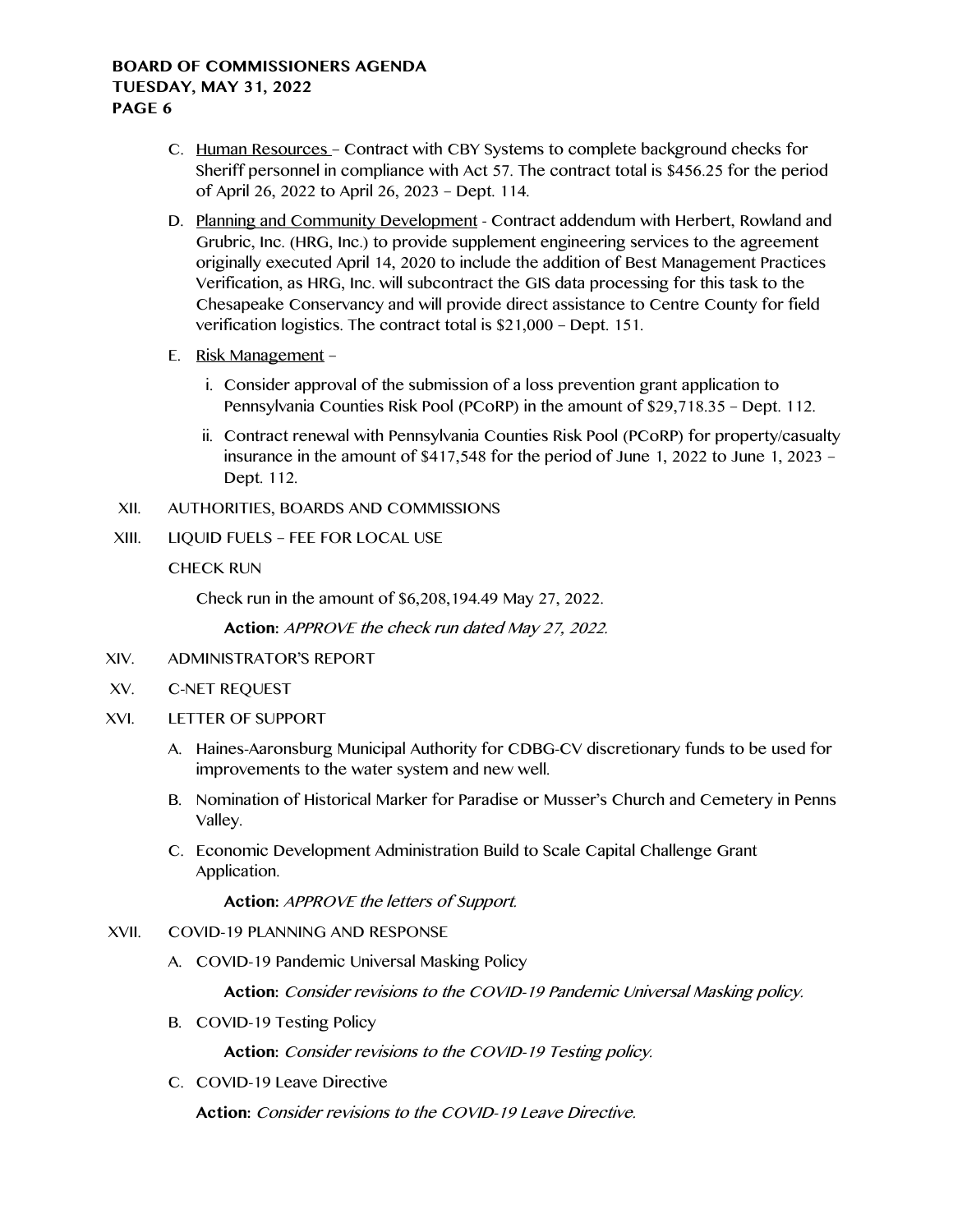- C. Human Resources Contract with CBY Systems to complete background checks for Sheriff personnel in compliance with Act 57. The contract total is \$456.25 for the period of April 26, 2022 to April 26, 2023 – Dept. 114.
- D. Planning and Community Development Contract addendum with Herbert, Rowland and Grubric, Inc. (HRG, Inc.) to provide supplement engineering services to the agreement originally executed April 14, 2020 to include the addition of Best Management Practices Verification, as HRG, Inc. will subcontract the GIS data processing for this task to the Chesapeake Conservancy and will provide direct assistance to Centre County for field verification logistics. The contract total is \$21,000 – Dept. 151.
- E. Risk Management
	- i. Consider approval of the submission of a loss prevention grant application to Pennsylvania Counties Risk Pool (PCoRP) in the amount of \$29,718.35 – Dept. 112.
	- ii. Contract renewal with Pennsylvania Counties Risk Pool (PCoRP) for property/casualty insurance in the amount of  $$417,548$  for the period of June 1, 2022 to June 1, 2023 – Dept. 112.
- XII. AUTHORITIES, BOARDS AND COMMISSIONS
- XIII. LIQUID FUELS FEE FOR LOCAL USE

## CHECK RUN

Check run in the amount of \$6,208,194.49 May 27, 2022.

**Action:** APPROVE the check run dated May 27, 2022.

- XIV. ADMINISTRATOR'S REPORT
- XV. C-NET REQUEST
- XVI. LETTER OF SUPPORT
	- A. Haines-Aaronsburg Municipal Authority for CDBG-CV discretionary funds to be used for improvements to the water system and new well.
	- B. Nomination of Historical Marker for Paradise or Musser's Church and Cemetery in Penns Valley.
	- C. Economic Development Administration Build to Scale Capital Challenge Grant Application.

**Action:** APPROVE the letters of Support.

## XVII. COVID-19 PLANNING AND RESPONSE

A. COVID-19 Pandemic Universal Masking Policy

**Action:** Consider revisions to the COVID-19 Pandemic Universal Masking policy.

B. COVID-19 Testing Policy

**Action:** Consider revisions to the COVID-19 Testing policy.

C. COVID-19 Leave Directive

**Action:** Consider revisions to the COVID-19 Leave Directive.